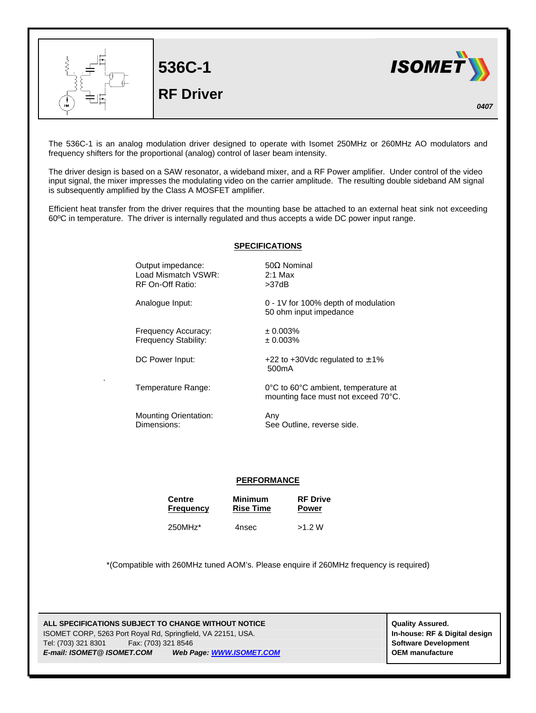

The 536C-1 is an analog modulation driver designed to operate with Isomet 250MHz or 260MHz AO modulators and frequency shifters for the proportional (analog) control of laser beam intensity.

The driver design is based on a SAW resonator, a wideband mixer, and a RF Power amplifier. Under control of the video input signal, the mixer impresses the modulating video on the carrier amplitude. The resulting double sideband AM signal is subsequently amplified by the Class A MOSFET amplifier.

Efficient heat transfer from the driver requires that the mounting base be attached to an external heat sink not exceeding 60ºC in temperature. The driver is internally regulated and thus accepts a wide DC power input range.

## **SPECIFICATIONS**

Output impedance: 50Ω Nominal Load Mismatch VSWR: 2:1 Max RF On-Off Ratio: >37dB Analogue Input: 0 - 1V for 100% depth of modulation 50 ohm input impedance Frequency Accuracy: ± 0.003% Frequency Stability:  $\pm 0.003\%$ DC Power Input:  $+22$  to  $+30$ Vdc regulated to  $\pm 1\%$ 500mA Temperature Range: 0°C to 60°C ambient, temperature at mounting face must not exceed 70°C. Mounting Orientation: Any Dimensions: See Outline, reverse side.

## **PERFORMANCE**

| <b>Centre</b>       | <b>Minimum</b>   | <b>RF</b> Drive |
|---------------------|------------------|-----------------|
| <b>Frequency</b>    | <b>Rise Time</b> | <b>Power</b>    |
| 250MHz <sup>*</sup> | 4nsec            |                 |

\*(Compatible with 260MHz tuned AOM's. Please enquire if 260MHz frequency is required)

**ALL SPECIFICATIONS SUBJECT TO CHANGE WITHOUT NOTICE And CONTACT ASSURANT CONTRACT ASSURED.** ISOMET CORP, 5263 Port Royal Rd, Springfield, VA 22151, USA. **In-house: RF & Digital design** Tel: (703) 321 8301 Fax: (703) 321 8546 **Software Development** *E-mail: ISOMET@ ISOMET.COM Web Page: WWW.ISOMET.COM* **OEM manufacture**

.